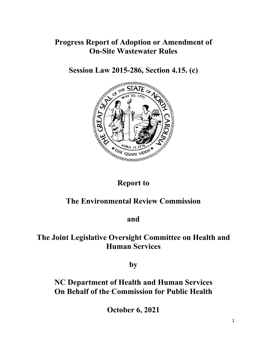## **Progress Report of Adoption or Amendment of On-Site Wastewater Rules**

**Session Law 2015-286, Section 4.15. (c)** 



# **Report to**

# **The Environmental Review Commission**

**and**

## **The Joint Legislative Oversight Committee on Health and Human Services**

**by**

## **NC Department of Health and Human Services On Behalf of the Commission for Public Health**

**October 6, 2021**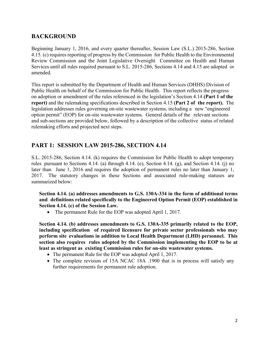### **BACKGROUND**

Beginning January 1, 2016, and every quarter thereafter, Session Law (S.L.) 2015-286, Section 4.15. (c) requires reporting of progress by the Commission for Public Health to the Environmental Review Commission and the Joint Legislative Oversight Committee on Health and Human Services until all rules required pursuant to S.L. 2015-286, Sections 4.14 and 4.15 are adopted or amended.

This report is submitted by the Department of Health and Human Services (DHHS) Division of Public Health on behalf of the Commission for Public Health. This report reflects the progress on adoption or amendment of the rules referenced in the legislation's Section 4.14 **(Part 1 of the report)** and the rulemaking specifications described in Section 4.15 **(Part 2 of the report).** The legislation addresses rules governing on-site wastewater systems, including a new "engineered option permit" (EOP) for on-site wastewater systems. General details of the relevant sections and sub-sections are provided below, followed by a description of the collective status of related rulemaking efforts and projected next steps.

### **PART 1: SESSION LAW 2015-286, SECTION 4.14**

S.L. 2015-286, Section 4.14. (k) requires the Commission for Public Health to adopt temporary rules pursuant to Sections 4.14. (a) through 4.14. (e), Section 4.14. (g), and Section 4.14. (j) no later than June 1, 2016 and requires the adoption of permanent rules no later than January 1, 2017. The statutory changes in these Sections and associated rule-making statuses are summarized below:

 **Section 4.14. (a) addresses amendments to G.S. 130A-334 in the form of additional terms and definitions related specifically to the Engineered Option Permit (EOP) established in Section 4.14. (c) of the Session Law.** 

• The permanent Rule for the EOP was adopted April 1, 2017.

 **Section 4.14. (b) addresses amendments to G.S. 130A-335 primarily related to the EOP, including specification of required licensure for private sector professionals who may perform site evaluations in addition to Local Health Department (LHD) personnel. This section also requires rules adopted by the Commission implementing the EOP to be at least as stringent as existing Commission rules for on-site wastewater systems.** 

- The permanent Rule for the EOP was adopted April 1, 2017.
- The complete revision of 15A NCAC 18A .1900 that is in process will satisfy any further requirements for permanent rule adoption.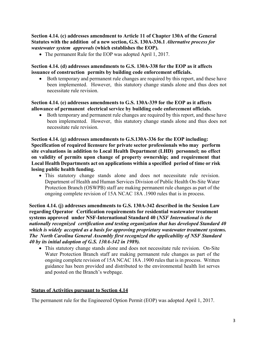**Section 4.14. (c) addresses amendment to Article 11 of Chapter 130A of the General Statutes with the addition of a new section, G.S. 130A-336.1** *Alternative process for wastewater system approvals* **(which establishes the EOP).** 

• The permanent Rule for the EOP was adopted April 1, 2017.

#### **Section 4.14. (d) addresses amendments to G.S. 130A-338 for the EOP as it affects issuance of construction permits by building code enforcement officials.**

 Both temporary and permanent rule changes are required by this report, and these have been implemented. However, this statutory change stands alone and thus does not necessitate rule revision.

#### **Section 4.14. (e) addresses amendments to G.S. 130A-339 for the EOP as it affects allowance of permanent electrical service by building code enforcement officials.**

 Both temporary and permanent rule changes are required by this report, and these have been implemented. However, this statutory change stands alone and thus does not necessitate rule revision.

**Section 4.14. (g) addresses amendments to G.S.130A-336 for the EOP including: Specification of required licensure for private sector professionals who may perform site evaluations in addition to Local Health Department (LHD) personnel; no effect on validity of permits upon change of property ownership; and requirement that Local Health Departments act on applications within a specified period of time or risk losing public health funding.** 

 This statutory change stands alone and does not necessitate rule revision. Department of Health and Human Services Division of Public Health On-Site Water Protection Branch (OSWPB) staff are making permanent rule changes as part of the ongoing complete revision of 15A NCAC 18A .1900 rules that is in process.

**Section 4.14. (j) addresses amendments to G.S. 130A-342 described in the Session Law regarding Operator Certification requirements for residential wastewater treatment systems approved under NSF-International Standard 40 (***NSF International is the nationally recognized certification and testing organization that has developed Standard 40 which is widely accepted as a basis for approving proprietary wastewater treatment systems. The North Carolina General Assembly first recognized the applicability of NSF Standard 40 by its initial adoption of G.S. 130A-342 in 1989).*

 This statutory change stands alone and does not necessitate rule revision. On-Site Water Protection Branch staff are making permanent rule changes as part of the ongoing complete revision of 15A NCAC 18A .1900 rules that is in process. Written guidance has been provided and distributed to the environmental health list serves and posted on the Branch's webpage.

#### **Status of Activities pursuant to Section 4.14**

The permanent rule for the Engineered Option Permit (EOP) was adopted April 1, 2017.